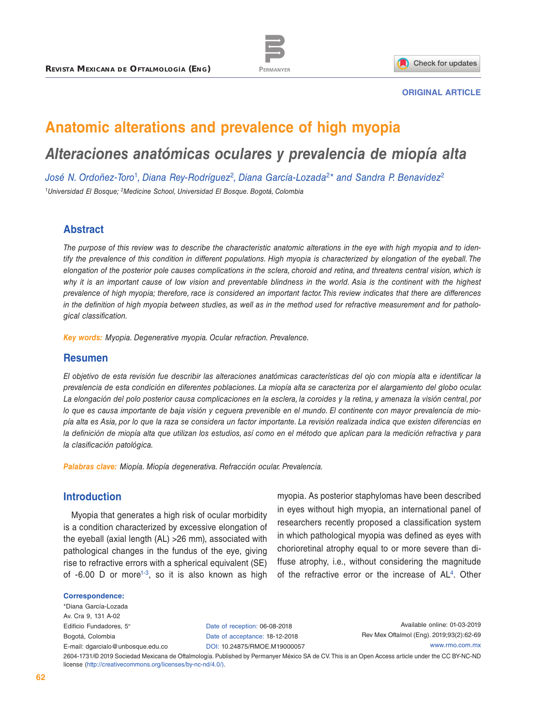



#### **ORIGINAL ARTICLE**

# **Anatomic alterations and prevalence of high myopia**

# *Alteraciones anatómicas oculares y prevalencia de miopía alta*

*José N. Ordoñez-Toro*<sup>1</sup>*, Diana Rey-Rodríguez*<sup>2</sup>*, Diana García-Lozada*<sup>2</sup>*\* and Sandra P. Benavidez*<sup>2</sup> <sup>1</sup>*Universidad El Bosque; 2Medicine School, Universidad El Bosque. Bogotá, Colombia*

#### **Abstract**

*The purpose of this review was to describe the characteristic anatomic alterations in the eye with high myopia and to identify the prevalence of this condition in different populations. High myopia is characterized by elongation of the eyeball. The elongation of the posterior pole causes complications in the sclera, choroid and retina, and threatens central vision, which is*  why it is an important cause of low vision and preventable blindness in the world. Asia is the continent with the highest *prevalence of high myopia; therefore, race is considered an important factor. This review indicates that there are differences in the definition of high myopia between studies, as well as in the method used for refractive measurement and for pathological classification.*

*Key words: Myopia. Degenerative myopia. Ocular refraction. Prevalence.*

#### **Resumen**

*El objetivo de esta revisión fue describir las alteraciones anatómicas características del ojo con miopía alta e identificar la prevalencia de esta condición en diferentes poblaciones. La miopía alta se caracteriza por el alargamiento del globo ocular. La elongación del polo posterior causa complicaciones en la esclera, la coroides y la retina, y amenaza la visión central, por lo que es causa importante de baja visión y ceguera prevenible en el mundo. El continente con mayor prevalencia de miopía alta es Asia, por lo que la raza se considera un factor importante. La revisión realizada indica que existen diferencias en la definición de miopía alta que utilizan los estudios, así como en el método que aplican para la medición refractiva y para la clasificación patológica.*

*Palabras clave: Miopía. Miopía degenerativa. Refracción ocular. Prevalencia.*

### **Introduction**

Myopia that generates a high risk of ocular morbidity is a condition characterized by excessive elongation of the eyeball (axial length (AL) >26 mm), associated with pathological changes in the fundus of the eye, giving rise to refractive errors with a spherical equivalent (SE) of  $-6.00$  D or more<sup> $1-3$  $1-3$ </sup>, so it is also known as high

myopia. As posterior staphylomas have been described in eyes without high myopia, an international panel of researchers recently proposed a classification system in which pathological myopia was defined as eyes with chorioretinal atrophy equal to or more severe than diffuse atrophy, i.e., without considering the magnitude of the refractive error or the increase of  $AL<sup>4</sup>$ . Other

#### **Correspondence:**

\*Diana García-Lozada Av. Cra 9, 131 A-02 Edificio Fundadores, 5º Bogotá, Colombia E-mail: [dgarcialo@unbosque.edu.co](mailto:dgarcialo%40unbosque.edu.co?subject=)

Date of reception: 06-08-2018 Date of acceptance: 18-12-2018 DOI: [10.24875/RMOE.M19000057](http://dx.doi.org/10.24875/RMOE.M19000057)

Available online: 01-03-2019 Rev Mex Oftalmol (Eng). 2019;93(2):62-69 [www.rmo.com.mx](http://www.rmo.com.mx)

2604-1731/© 2019 Sociedad Mexicana de Oftalmología. Published by Permanyer México SA de CV. This is an Open Access article under the CC BY-NC-ND license (<http://creativecommons.org/licenses/by-nc-nd/4.0/>).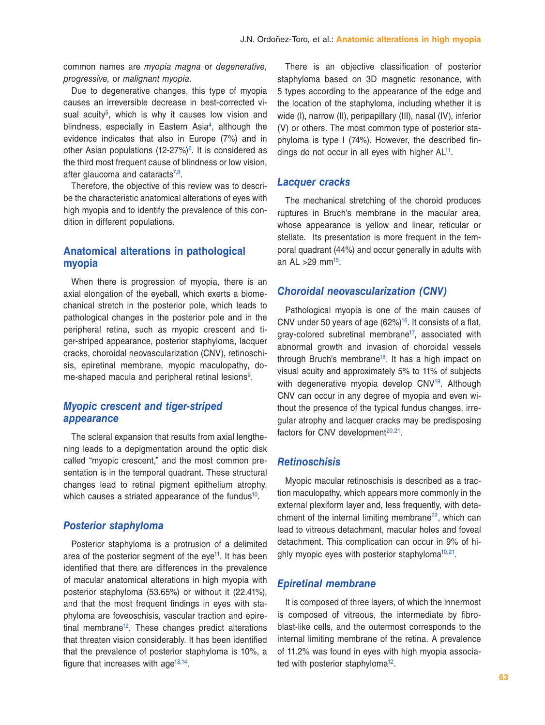common names are *myopia magna* or *degenerative, progressive,* or *malignant myopia*.

Due to degenerative changes, this type of myopia causes an irreversible decrease in best-corrected visual acuity<sup>5</sup>, which is why it causes low vision and blindness, especially in Eastern Asia<sup>4</sup>, although the evidence indicates that also in Europe (7%) and in other Asian populations  $(12-27%)$ <sup>6</sup>. It is considered as the third most frequent cause of blindness or low vision, after glaucoma and cataracts<sup>7,[8](#page-6-6)</sup>.

Therefore, the objective of this review was to describe the characteristic anatomical alterations of eyes with high myopia and to identify the prevalence of this condition in different populations.

# **Anatomical alterations in pathological myopia**

When there is progression of myopia, there is an axial elongation of the eyeball, which exerts a biomechanical stretch in the posterior pole, which leads to pathological changes in the posterior pole and in the peripheral retina, such as myopic crescent and tiger-striped appearance, posterior staphyloma, lacquer cracks, choroidal neovascularization (CNV), retinoschisis, epiretinal membrane, myopic maculopathy, do-me-shaped macula and peripheral retinal lesions<sup>[9](#page-6-7)</sup>.

# *Myopic crescent and tiger-striped appearance*

The scleral expansion that results from axial lengthening leads to a depigmentation around the optic disk called "myopic crescent," and the most common presentation is in the temporal quadrant. These structural changes lead to retinal pigment epithelium atrophy, which causes a striated appearance of the fundus<sup>10</sup>.

#### *Posterior staphyloma*

Posterior staphyloma is a protrusion of a delimited area of the posterior segment of the eye<sup>11</sup>. It has been identified that there are differences in the prevalence of macular anatomical alterations in high myopia with posterior staphyloma (53.65%) or without it (22.41%), and that the most frequent findings in eyes with staphyloma are foveoschisis, vascular traction and epiretinal membrane<sup>12</sup>. These changes predict alterations that threaten vision considerably. It has been identified that the prevalence of posterior staphyloma is 10%, a figure that increases with age $13,14$ .

There is an objective classification of posterior staphyloma based on 3D magnetic resonance, with 5 types according to the appearance of the edge and the location of the staphyloma, including whether it is wide (I), narrow (II), peripapillary (III), nasal (IV), inferior (V) or others. The most common type of posterior staphyloma is type I (74%). However, the described findings do not occur in all eyes with higher  $AL<sup>11</sup>$ .

#### *Lacquer cracks*

The mechanical stretching of the choroid produces ruptures in Bruch's membrane in the macular area, whose appearance is yellow and linear, reticular or stellate. Its presentation is more frequent in the temporal quadrant (44%) and occur generally in adults with an AL  $>29$  mm<sup>15</sup>.

#### *Choroidal neovascularization (CNV)*

Pathological myopia is one of the main causes of CNV under 50 years of age  $(62\%)$ <sup>16</sup>. It consists of a flat, gray-colored subretinal membrane<sup>17</sup>, associated with abnormal growth and invasion of choroidal vessels through Bruch's membrane<sup>18</sup>. It has a high impact on visual acuity and approximately 5% to 11% of subjects with degenerative myopia develop CNV<sup>19</sup>. Although CNV can occur in any degree of myopia and even without the presence of the typical fundus changes, irregular atrophy and lacquer cracks may be predisposing factors for CNV development $20,21$  $20,21$ .

#### *Retinoschisis*

Myopic macular retinoschisis is described as a traction maculopathy, which appears more commonly in the external plexiform layer and, less frequently, with detachment of the internal limiting membrane[22,](#page-7-6) which can lead to vitreous detachment, macular holes and foveal detachment. This complication can occur in 9% of highly myopic eyes with posterior staphyloma<sup>10,21</sup>.

#### *Epiretinal membrane*

It is composed of three layers, of which the innermost is composed of vitreous, the intermediate by fibroblast-like cells, and the outermost corresponds to the internal limiting membrane of the retina. A prevalence of 11.2% was found in eyes with high myopia associated with posterior staphyloma<sup>12</sup>.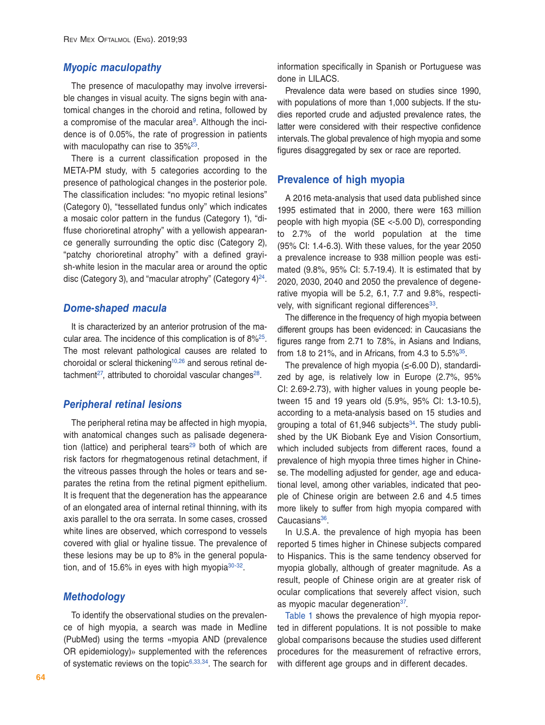#### *Myopic maculopathy*

The presence of maculopathy may involve irreversible changes in visual acuity. The signs begin with anatomical changes in the choroid and retina, followed by a compromise of the macular area<sup>[9](#page-6-7)</sup>. Although the incidence is of 0.05%, the rate of progression in patients with maculopathy can rise to 35%<sup>23</sup>.

There is a current classification proposed in the META-PM study, with 5 categories according to the presence of pathological changes in the posterior pole. The classification includes: "no myopic retinal lesions" (Category 0), "tessellated fundus only" which indicates a mosaic color pattern in the fundus (Category 1), "diffuse chorioretinal atrophy" with a yellowish appearance generally surrounding the optic disc (Category 2), "patchy chorioretinal atrophy" with a defined grayish-white lesion in the macular area or around the optic disc (Category 3), and "macular atrophy" (Category  $4)^{24}$  $4)^{24}$  $4)^{24}$ .

#### *Dome-shaped macula*

It is characterized by an anterior protrusion of the macular area. The incidence of this complication is of 8%[25](#page-7-9). The most relevant pathological causes are related to choroidal or scleral thickening<sup>10,[26](#page-7-10)</sup> and serous retinal detachment<sup>27</sup>, attributed to choroidal vascular changes<sup>28</sup>.

#### *Peripheral retinal lesions*

The peripheral retina may be affected in high myopia, with anatomical changes such as palisade degeneration (lattice) and peripheral tears<sup>29</sup> both of which are risk factors for rhegmatogenous retinal detachment, if the vitreous passes through the holes or tears and separates the retina from the retinal pigment epithelium. It is frequent that the degeneration has the appearance of an elongated area of internal retinal thinning, with its axis parallel to the ora serrata. In some cases, crossed white lines are observed, which correspond to vessels covered with glial or hyaline tissue. The prevalence of these lesions may be up to 8% in the general population, and of 15.6% in eyes with high myopia $30-32$ .

#### *Methodology*

To identify the observational studies on the prevalence of high myopia, a search was made in Medline (PubMed) using the terms «myopia AND (prevalence OR epidemiology)» supplemented with the references of systematic reviews on the topic $6,33,34$  $6,33,34$  $6,33,34$  $6,33,34$ . The search for information specifically in Spanish or Portuguese was done in LILACS.

Prevalence data were based on studies since 1990, with populations of more than 1,000 subjects. If the studies reported crude and adjusted prevalence rates, the latter were considered with their respective confidence intervals. The global prevalence of high myopia and some figures disaggregated by sex or race are reported.

#### **Prevalence of high myopia**

A 2016 meta-analysis that used data published since 1995 estimated that in 2000, there were 163 million people with high myopia (SE <-5.00 D), corresponding to 2.7% of the world population at the time (95% CI: 1.4-6.3). With these values, for the year 2050 a prevalence increase to 938 million people was estimated (9.8%, 95% CI: 5.7-19.4). It is estimated that by 2020, 2030, 2040 and 2050 the prevalence of degenerative myopia will be 5.2, 6.1, 7.7 and 9.8%, respectively, with significant regional differences<sup>33</sup>.

The difference in the frequency of high myopia between different groups has been evidenced: in Caucasians the figures range from 2.71 to 7.8%, in Asians and Indians, from 1.8 to 21%, and in Africans, from 4.3 to  $5.5\%$ <sup>35</sup>.

The prevalence of high myopia ( $\leq$ -6.00 D), standardized by age, is relatively low in Europe (2.7%, 95% CI: 2.69-2.73), with higher values in young people between 15 and 19 years old (5.9%, 95% CI: 1.3-10.5), according to a meta-analysis based on 15 studies and grouping a total of  $61,946$  subjects<sup>34</sup>. The study published by the UK Biobank Eye and Vision Consortium, which included subjects from different races, found a prevalence of high myopia three times higher in Chinese. The modelling adjusted for gender, age and educational level, among other variables, indicated that people of Chinese origin are between 2.6 and 4.5 times more likely to suffer from high myopia compared with Caucasians<sup>[36](#page-7-19)</sup>.

In U.S.A. the prevalence of high myopia has been reported 5 times higher in Chinese subjects compared to Hispanics. This is the same tendency observed for myopia globally, although of greater magnitude. As a result, people of Chinese origin are at greater risk of ocular complications that severely affect vision, such as myopic macular degeneration<sup>37</sup>.

[Table 1](#page-3-0) shows the prevalence of high myopia reported in different populations. It is not possible to make global comparisons because the studies used different procedures for the measurement of refractive errors, with different age groups and in different decades.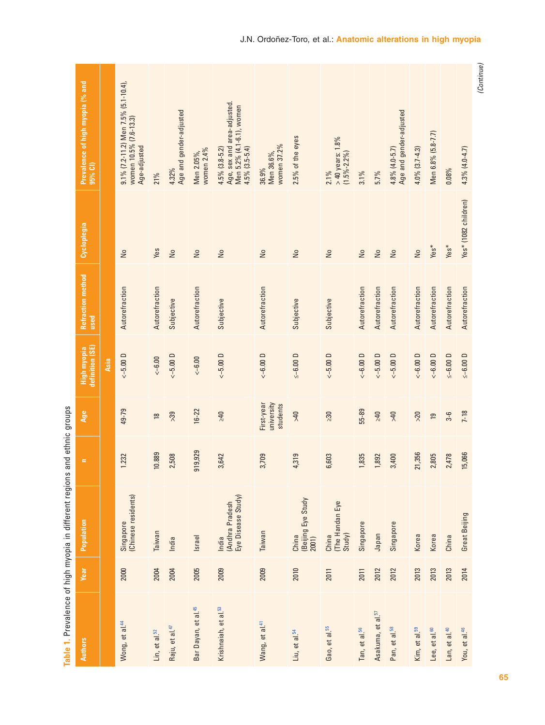<span id="page-3-0"></span>

|                                  |             | Principal scientists of the production of the product of the product of the product of the product of the product of the product of the product of the product of the product of the product of the product of the product of | alla princ | promis                               |                                |                           |                           |                                                                                                        |
|----------------------------------|-------------|-------------------------------------------------------------------------------------------------------------------------------------------------------------------------------------------------------------------------------|------------|--------------------------------------|--------------------------------|---------------------------|---------------------------|--------------------------------------------------------------------------------------------------------|
| <b>Authors</b>                   | <b>Year</b> | Population                                                                                                                                                                                                                    | $\equiv$   | Age                                  | definition (SE)<br>High myopia | Refraction method<br>used | Cycloplegia               | Prevalence of high myopia (% and<br>95% CI)                                                            |
|                                  |             |                                                                                                                                                                                                                               |            |                                      | Asia                           |                           |                           |                                                                                                        |
| Wong, et al. <sup>44</sup>       | 2000        | (Chinese residents)<br>Singapore                                                                                                                                                                                              | 1.232      | 49-79                                | $<-5.00D$                      | Autorefraction            | $\frac{1}{2}$             | $9.1\%$ (7.2-11.2) Men 7.5% (5.1-10.4),<br>women 10.5% (7.6-13.3)<br>Age-adjusted                      |
| Lin, et al. <sup>52</sup>        | 2004        | Taiwan                                                                                                                                                                                                                        | 10.889     | $\overline{18}$                      | $<-6.00$                       | Autorefraction            | Yes                       | 21%                                                                                                    |
| Raju, et al. <sup>47</sup>       | 2004        | India                                                                                                                                                                                                                         | 2,508      | >39                                  | $<-5.00D$                      | Subjective                | $\overline{\mathsf{N}}$   | Age and gender-adjusted<br>4.32%                                                                       |
| Bar Dayan, et al. <sup>45</sup>  | 2005        | Israel                                                                                                                                                                                                                        | 919,929    | $16 - 22$                            | $<-6.00$                       | Autorefraction            | $\frac{1}{2}$             | women 2.4%<br>Men 2.05%,                                                                               |
| Krishnaiah, et al. <sup>53</sup> | 2009        | Eye Disease Study)<br>(Andhra Pradesh<br>India                                                                                                                                                                                | 3,642      | $\geq 40$                            | $<-5.00D$                      | Subjective                | $\overline{a}$            | Age, sex and area-adjusted.<br>Men 5.2% (4.1-6.1), women<br>$4.5\%$ $(3.5-5.4)$<br>$4.5\%$ $(3.8-5.2)$ |
| Wang, et al. <sup>41</sup>       | 2009        | Taiwan                                                                                                                                                                                                                        | 3,709      | university<br>First-year<br>students | $<-6.00D$                      | Autorefraction            | $\overline{\mathsf{N}}$ o | women 37.2%<br>Men 36.6%,<br>36.9%                                                                     |
| Liu, et al. <sup>54</sup>        | 2010        | (Beijing Eye Study<br>China<br>2001)                                                                                                                                                                                          | 4,319      | 94<                                  | $\leq -6.00$ D                 | Subjective                | $\overline{\mathsf{S}}$   | 2.5% of the eyes                                                                                       |
| Gao, et al. <sup>55</sup>        | 2011        | The Handan Eye<br>Study)<br>China                                                                                                                                                                                             | 6,603      | $\geq 30$                            | $<-5.00D$                      | Subjective                | $\frac{1}{2}$             | $>40$ years: $1.8\%$<br>$(1.5\% - 2.2\%)$<br>$2.1\%$                                                   |
| Tan, et al. <sup>56</sup>        | 2011        | Singapore                                                                                                                                                                                                                     | 1,835      | 55-89                                | $<-6.00D$                      | Autorefraction            | $\frac{1}{2}$             | $3.1\%$                                                                                                |
| Asakuma, et al. <sup>57</sup>    | 2012        | Japan                                                                                                                                                                                                                         | 1,892      | $\geq 40$                            | $<-5.00D$                      | Autorefraction            | $\frac{1}{2}$             | $5.7\%$                                                                                                |
| Pan, et al. <sup>58</sup>        | 2012        | Singapore                                                                                                                                                                                                                     | 3,400      | $0 + 1$                              | $<-5.00D$                      | Autorefraction            | $\overline{\mathsf{N}}$   | Age and gender-adjusted<br>$4.8\%$ $(4.0 - 5.7)$                                                       |
| Kim, et al. <sup>59</sup>        | 2013        | Korea                                                                                                                                                                                                                         | 21,356     | $>20$                                | $<-6.00D$                      | Autorefraction            | $\frac{1}{2}$             | $4.0\%$ $(3.7 - 4.3)$                                                                                  |
| Lee, et al. <sup>60</sup>        | 2013        | Korea                                                                                                                                                                                                                         | 2,805      | $\overline{19}$                      | $<-6.00D$                      | Autorefraction            | $Yes*$                    | Men 6.8% (5.8-7.7)                                                                                     |
| Lan, et al. <sup>40</sup>        | 2013        | China                                                                                                                                                                                                                         | 2,478      | $3-6$                                | $\leq -6.00$ D                 | Autorefraction            | $Yes*$                    | 0.08%                                                                                                  |
| You, et al. <sup>46</sup>        | 2014        | Great Beijing                                                                                                                                                                                                                 | 15,066     | $7 - 18$                             | $\leq -6.00$ D                 | Autorefraction            | Yes* (1082 children)      | $4.3\%$ $(4.0 - 4.7)$                                                                                  |

<span id="page-3-1"></span>Table 1. Prevalence of high myopia in different regions and ethnic groups **[Table 1](#page-3-1).** Prevalence of high myopia in different regions and ethnic groups

<sup>(</sup>Continue)  *(Continue)*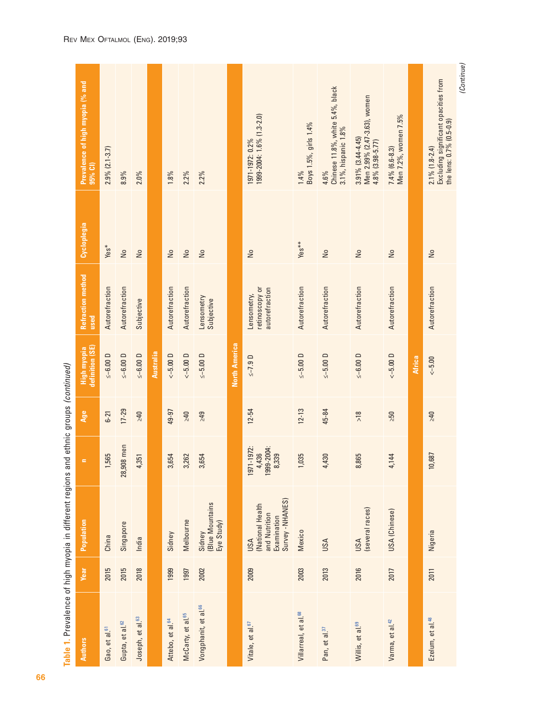|                                  |             | י המבנה המתורש במונח המונח המונח במונח במונח המונח המונח במונח המונח במונח המונח במונח המונח המונח ה<br>תורשות המונח המונח המונח המונח המונח המונח המונח המונח המונח המונח המונח המונח המונח המונח המונח המונח המונח ה |                                          |           |                                |                                                 |                |                                                                                       |
|----------------------------------|-------------|------------------------------------------------------------------------------------------------------------------------------------------------------------------------------------------------------------------------|------------------------------------------|-----------|--------------------------------|-------------------------------------------------|----------------|---------------------------------------------------------------------------------------|
| <b>Authors</b>                   | <b>Year</b> | Population                                                                                                                                                                                                             | $=$                                      | Age       | High myopia<br>definition (SE) | <b>Refraction method</b><br>used                | Cycloplegia    | Prevalence of high myopia (% and<br>95% CI)                                           |
| Gao, et al. <sup>61</sup>        | 2015        | China                                                                                                                                                                                                                  | 1,565                                    | $6 - 21$  | $\le -6.00$ D                  | Autorefraction                                  | $Yes*$         | $2.9\%$ $(2.1-3.7)$                                                                   |
| Gupta, et al. <sup>62</sup>      | 2015        | Singapore                                                                                                                                                                                                              | ,908 men<br>$\approx$                    | $17 - 29$ | $\le -6.00$ D                  | Autorefraction                                  | $\frac{1}{2}$  | 8.9%                                                                                  |
| Joseph, et al. <sup>63</sup>     | 2018        | India                                                                                                                                                                                                                  | 4,351                                    | $240$     | $\leq -6.00$ D                 | Subjective                                      | $\frac{1}{2}$  | $2.0\%$                                                                               |
|                                  |             |                                                                                                                                                                                                                        |                                          |           | <b>Australia</b>               |                                                 |                |                                                                                       |
| Attebo, et al. <sup>64</sup>     | 1999        | Sidney                                                                                                                                                                                                                 | 3,654                                    | 49-97     | $<-5.00$ D                     | Autorefraction                                  | $\frac{1}{2}$  | 1.8%                                                                                  |
| McCarty, et al. <sup>65</sup>    | 1997        | Melbourne                                                                                                                                                                                                              | 3,262                                    | $Qt \leq$ | $< -5.00 D$                    | Autorefraction                                  | $\frac{1}{2}$  | $2.2\%$                                                                               |
| Vongphanit, et al. <sup>66</sup> | 2002        | (Blue Mountains<br>Eye Study)<br>Sidney                                                                                                                                                                                | 3,654                                    | 249       | $\le -5.00$ D                  | Lensometry<br>Subjective                        | $\frac{1}{2}$  | 2.2%                                                                                  |
|                                  |             |                                                                                                                                                                                                                        |                                          |           | <b>North America</b>           |                                                 |                |                                                                                       |
| Vitale, et al. <sup>67</sup>     | 2009        | Survey - NHANES)<br>(National Health<br>and Nutrition<br>Examination<br>USA                                                                                                                                            | 971-1972:<br>999-2004:<br>4,436<br>8,339 | $12 - 54$ | $\le -7.9$ D                   | retinoscopy or<br>autorefraction<br>Lensometry, | $\frac{1}{2}$  | 1999-2004: 1.6% (1.3-2.0)<br>1971-1972: 0.2%                                          |
| Villarreal, et al. <sup>68</sup> | 2003        | Mexico                                                                                                                                                                                                                 | 1,035                                    | $12 - 13$ | $\le -5.00$ D                  | Autorefraction                                  | $Yes**$        | Boys 1.5%, girls 1.4%<br>1.4%                                                         |
| Pan, et al. <sup>37</sup>        | 2013        | USA                                                                                                                                                                                                                    | 4,430                                    | 45-84     | $\le -5.00$ D                  | Autorefraction                                  | $\frac{1}{2}$  | Chinese 11.8%, white 5.4%, black<br>3.1%, hispanic 1.8%<br>4.6%                       |
| Willis, et al. <sup>69</sup>     | 2016        | (several races)<br>USA                                                                                                                                                                                                 | 8,865                                    | $>18$     | $≤-6.00 D$                     | Autorefraction                                  | $\frac{1}{2}$  | Men 2.99% (2.47-3.63), women<br>$3.91\%$ $(3.44-4.45)$<br>4.8% (3.98-5.77)            |
| Varma, et al. <sup>42</sup>      | 2017        | USA (Chinese)                                                                                                                                                                                                          | 4,144                                    | $\geq 50$ | $<-5.00D$                      | Autorefraction                                  | $\frac{1}{2}$  | Men 7.2%, women 7.5%<br>$7.4\%$ (6.6-8.3)                                             |
|                                  |             |                                                                                                                                                                                                                        |                                          |           | <b>Africa</b>                  |                                                 |                |                                                                                       |
| Ezelum, et al. <sup>48</sup>     | 2011        | Nigeria                                                                                                                                                                                                                | 10,687                                   | 940       | $<-5.00$                       | Autorefraction                                  | $\overline{a}$ | Excluding significant opacities from<br>the lens: 0.7% (0.5-0.9)<br>$2.1\%$ (1.8-2.4) |

 *(Continue)*

(Continue)

Table 1. Prevalence of high myopia in different regions and ethnic groups (continued) **[Table 1](#page-3-1).** Prevalence of high myopia in different regions and ethnic groups *(continued)*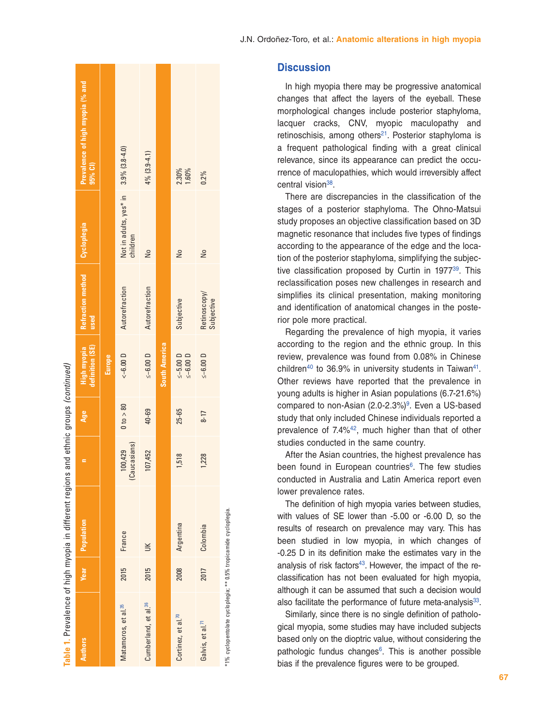| Table 1. Prevalence of high myopia in different regions          |      |            |                         | and ethnic groups (continued) |                                 |                                         |                                                   |                                             |
|------------------------------------------------------------------|------|------------|-------------------------|-------------------------------|---------------------------------|-----------------------------------------|---------------------------------------------------|---------------------------------------------|
| <b>Authors</b>                                                   | Year | Population |                         | Age                           | definition (SE)<br>High myopia  | Refraction method   Cycloplegia<br>used |                                                   | Prevalence of high myopia (% and<br>95% CI) |
|                                                                  |      |            |                         |                               | Europe                          |                                         |                                                   |                                             |
| Matamoros, et al. <sup>35</sup>                                  | 2015 | France     | (Caucasians)<br>100,429 | 0 to > 80                     | $<-6.00 D$                      | Autorefraction                          | Not in adults, yes* in 3.9% (3.8-4.0)<br>children |                                             |
| Cumberland, et al. <sup>36</sup>                                 | 2015 | $\leq$     | 107,452                 | 40-69                         | $\leq -6.00$ D                  | Autorefraction                          | $\frac{1}{2}$                                     | $4\%$ (3.9-4.1)                             |
|                                                                  |      |            |                         |                               | <b>South America</b>            |                                         |                                                   |                                             |
| Cortinez, et al. <sup>70</sup>                                   | 2008 | Argentina  | 1,518                   | 25-65                         | $\le -5.00$ D<br>$\leq -6.00$ D | Subjective                              | $\frac{1}{2}$                                     | 2.30%<br>1.60%                              |
| Galvis, et al. <sup>71</sup>                                     | 2017 | Colombia   | 1,228                   | $8 - 17$                      | $\le -6.00$ D                   | Retinoscopy/<br>Subjective              | $\frac{1}{2}$                                     | $0.2\%$                                     |
| *1% cyclopentolate cycloplegia; ** 0.5% tropicamide cycloplegia. |      |            |                         |                               |                                 |                                         |                                                   |                                             |

### **Discussion**

In high myopia there may be progressive anatomical changes that affect the layers of the eyeball. These morphological changes include posterior staphyloma, lacquer cracks, CNV, myopic maculopathy and retinoschisis, among others $21$ . Posterior staphyloma is a frequent pathological finding with a great clinical relevance, since its appearance can predict the occu rrence of maculopathies, which would irreversibly affect central vision<sup>38</sup>.

There are discrepancies in the classification of the stages of a posterior staphyloma. The Ohno-Matsui study proposes an objective classification based on 3D magnetic resonance that includes five types of findings according to the appearance of the edge and the loca tion of the posterior staphyloma, simplifying the subjec tive classification proposed by Curtin in 1977[39.](#page-7-23) This reclassification poses new challenges in research and simplifies its clinical presentation, making monitoring and identification of anatomical changes in the poste rior pole more practical.

Regarding the prevalence of high myopia, it varies according to the region and the ethnic group. In this review, prevalence was found from 0.08% in Chinese children<sup>[40](#page-7-24)</sup> to 36.9% in university students in Taiwan<sup>41</sup>. Other reviews have reported that the prevalence in young adults is higher in Asian populations (6.7-21.6%) compared to non-Asian (2.0-2.3%) [9.](#page-6-7) Even a US-based study that only included Chinese individuals reported a prevalence of  $7.4\%$ <sup>42</sup>, much higher than that of other studies conducted in the same country.

After the Asian countries, the highest prevalence has been found in European countries [6](#page-6-4). The few studies conducted in Australia and Latin America report even lower prevalence rates.

The definition of high myopia varies between studies, with values of SE lower than -5.00 or -6.00 D, so the results of research on prevalence may vary. This has been studied in low myopia, in which changes of -0.25 D in its definition make the estimates vary in the analysis of risk factors<sup>43</sup>. However, the impact of the reclassification has not been evaluated for high myopia, although it can be assumed that such a decision would also facilitate the performance of future meta-analysis<sup>33</sup>.

Similarly, since there is no single definition of patholo gical myopia, some studies may have included subjects based only on the dioptric value, without considering the pathologic fundus changes [6.](#page-6-4) This is another possible bias if the prevalence figures were to be grouped.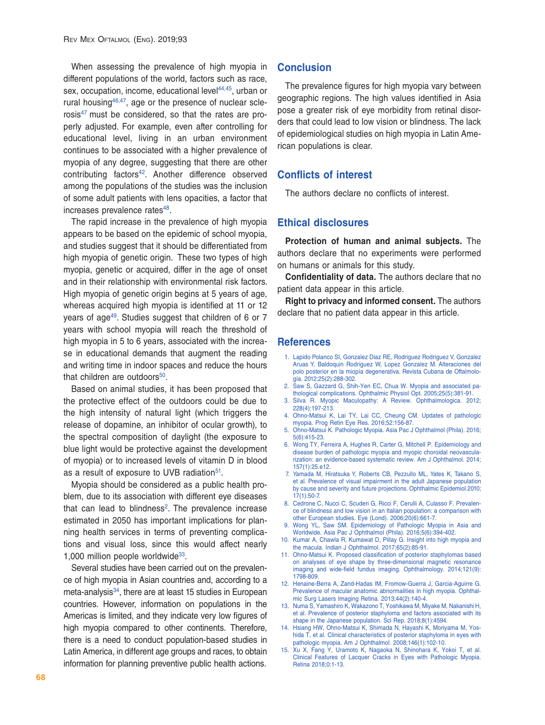When assessing the prevalence of high myopia in different populations of the world, factors such as race, sex, occupation, income, educational level<sup>44,[45](#page-7-29)</sup>, urban or rural housing $46,47$  $46,47$ , age or the presence of nuclear scle-rosis<sup>[47](#page-7-31)</sup> must be considered, so that the rates are properly adjusted. For example, even after controlling for educational level, living in an urban environment continues to be associated with a higher prevalence of myopia of any degree, suggesting that there are other contributing factors<sup>[42](#page-7-26)</sup>. Another difference observed among the populations of the studies was the inclusion of some adult patients with lens opacities, a factor that increases prevalence rates<sup>48</sup>.

The rapid increase in the prevalence of high myopia appears to be based on the epidemic of school myopia, and studies suggest that it should be differentiated from high myopia of genetic origin. These two types of high myopia, genetic or acquired, differ in the age of onset and in their relationship with environmental risk factors. High myopia of genetic origin begins at 5 years of age, whereas acquired high myopia is identified at 11 or 12 years of age[49.](#page-7-33) Studies suggest that children of 6 or 7 years with school myopia will reach the threshold of high myopia in 5 to 6 years, associated with the increase in educational demands that augment the reading and writing time in indoor spaces and reduce the hours that children are outdoors $50$ .

Based on animal studies, it has been proposed that the protective effect of the outdoors could be due to the high intensity of natural light (which triggers the release of dopamine, an inhibitor of ocular growth), to the spectral composition of daylight (the exposure to blue light would be protective against the development of myopia) or to increased levels of vitamin D in blood as a result of exposure to UVB radiation<sup>51</sup>.

Myopia should be considered as a public health problem, due to its association with different eye diseases that can lead to blindness<sup>2</sup>. The prevalence increase estimated in 2050 has important implications for planning health services in terms of preventing complications and visual loss, since this would affect nearly 1,000 million people worldwide $33$ .

Several studies have been carried out on the prevalence of high myopia in Asian countries and, according to a meta-analysis<sup>[34](#page-7-17)</sup>, there are at least 15 studies in European countries. However, information on populations in the Americas is limited, and they indicate very low figures of high myopia compared to other continents. Therefore, there is a need to conduct population-based studies in Latin America, in different age groups and races, to obtain information for planning preventive public health actions.

#### **Conclusion**

The prevalence figures for high myopia vary between geographic regions. The high values identified in Asia pose a greater risk of eye morbidity from retinal disorders that could lead to low vision or blindness. The lack of epidemiological studies on high myopia in Latin American populations is clear.

### **Conflicts of interest**

The authors declare no conflicts of interest.

#### **Ethical disclosures**

**Protection of human and animal subjects.** The authors declare that no experiments were performed on humans or animals for this study.

**Confidentiality of data.** The authors declare that no patient data appear in this article.

**Right to privacy and informed consent.** The authors declare that no patient data appear in this article.

#### **References**

- <span id="page-6-0"></span>1. Lapido Polanco SI, Gonzalez Diaz RE, Rodriguez Rodriguez V, Gonzalez Aruas Y, Baldoquin Rodriguez W, Lopez Gonzalez M. Alteraciones del polo posterior en la miopía degenerativa. Revista Cubana de Oftalmología. 2012;25(2):288-302.
- <span id="page-6-14"></span>2. Saw S, Gazzard G, Shih-Yen EC, Chua W. Myopia and associated pathological complications. Ophthalmic Physiol Opt. 2005;25(5):381-91.
- <span id="page-6-1"></span>3. Silva R. Myopic Maculopathy: A Review. Ophthalmologica. 2012; 228(4):197-213.
- <span id="page-6-2"></span>4. Ohno-Matsui K, Lai TY, Lai CC, Cheung CM. Updates of pathologic myopia. Prog Retin Eye Res. 2016;52:156-87.
- <span id="page-6-3"></span>5. Ohno-Matsui K. Pathologic Myopia. Asia Pac J Ophthalmol (Phila). 2016; 5(6):415-23.
- <span id="page-6-4"></span>6. Wong TY, Ferreira A, Hughes R, Carter G, Mitchell P. Epidemiology and disease burden of pathologic myopia and myopic choroidal neovascularization: an evidence-based systematic review. Am J Ophthalmol. 2014; 157(1):25.e12.
- <span id="page-6-5"></span>7. Yamada M, Hiratsuka Y, Roberts CB, Pezzullo ML, Yates K, Takano S, et al. Prevalence of visual impairment in the adult Japanese population by cause and severity and future projections. Ophthalmic Epidemiol.2010; 17(1):50-7.
- <span id="page-6-6"></span>8. Cedrone C, Nucci C, Scuderi G, Ricci F, Cerulli A, Culasso F. Prevalence of blindness and low vision in an Italian population: a comparison with other European studies. Eye (Lond). 2006;20(6):661-7.
- <span id="page-6-7"></span>9. Wong YL, Saw SM. Epidemiology of Pathologic Myopia in Asia and Worldwide. Asia Pac J Ophthalmol (Phila). 2016;5(6):394-402.
- <span id="page-6-8"></span>10. Kumar A, Chawla R, Kumawat D, Pillay G. Insight into high myopia and the macula. Indian J Ophthalmol. 2017;65(2):85-91.
- <span id="page-6-9"></span>11. Ohno-Matsui K. Proposed classification of posterior staphylomas based on analyses of eye shape by three-dimensional magnetic resonance imaging and wide-field fundus imaging. Ophthalmology. 2014;121(9): 1798-809.
- <span id="page-6-10"></span>12. Henaine-Berra A, Zand-Hadas IM, Fromow-Guerra J, Garcia-Aguirre G. Prevalence of macular anatomic abnormalities in high myopia. Ophthalmic Surg Lasers Imaging Retina. 2013;44(2):140-4.
- <span id="page-6-11"></span>13. Numa S, Yamashiro K, Wakazono T, Yoshikawa M, Miyake M, Nakanishi H, et al. Prevalence of posterior staphyloma and factors associated with its shape in the Japanese population. Sci Rep. 2018;8(1):4594.
- <span id="page-6-12"></span>14. Hsiang HW, Ohno-Matsui K, Shimada N, Hayashi K, Moriyama M, Yoshida T, et al. Clinical characteristics of posterior staphyloma in eyes with pathologic myopia. Am J Ophthalmol. 2008;146(1):102-10.
- <span id="page-6-13"></span>15. Xu X, Fang Y, Uramoto K, Nagaoka N, Shinohara K, Yokoi T, et al. Clinical Features of Lacquer Cracks in Eyes with Pathologic Myopia. Retina 2018;0:1-13.